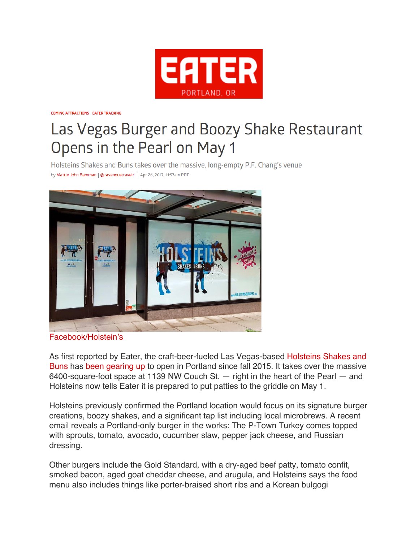

**COMING ATTRACTIONS EATER TRACKING** 

## Las Vegas Burger and Boozy Shake Restaurant Opens in the Pearl on May 1

Holsteins Shakes and Buns takes over the massive, long-empty P.F. Chang's venue by Mattie John Bamman | @ravenoustravelr | Apr 26, 2017, 11:57am PDT



Facebook/Holstein's

As first reported by Eater, the craft-beer-fueled Las Vegas-based Holsteins Shakes and Buns has been gearing up to open in Portland since fall 2015. It takes over the massive 6400-square-foot space at 1139 NW Couch St. — right in the heart of the Pearl — and Holsteins now tells Eater it is prepared to put patties to the griddle on May 1.

Holsteins previously confirmed the Portland location would focus on its signature burger creations, boozy shakes, and a significant tap list including local microbrews. A recent email reveals a Portland-only burger in the works: The P-Town Turkey comes topped with sprouts, tomato, avocado, cucumber slaw, pepper jack cheese, and Russian dressing.

Other burgers include the Gold Standard, with a dry-aged beef patty, tomato confit, smoked bacon, aged goat cheddar cheese, and arugula, and Holsteins says the food menu also includes things like porter-braised short ribs and a Korean bulgogi